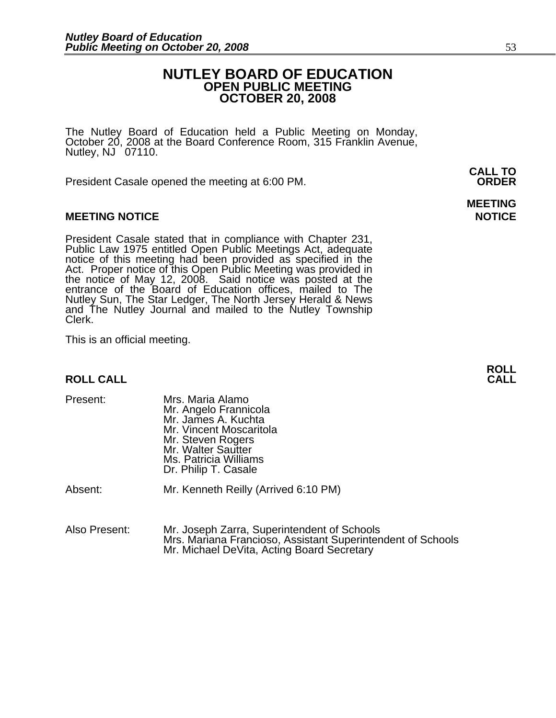#### **NUTLEY BOARD OF EDUCATION OPEN PUBLIC MEETING OCTOBER 20, 2008**

The Nutley Board of Education held a Public Meeting on Monday, October 20, 2008 at the Board Conference Room, 315 Franklin Avenue, Nutley,  $NJ$  07110.

President Casale opened the meeting at 6:00 PM. **ORDER**

#### **MEETING NOTICE NOTICE AND RESERVE ASSESS**

President Casale stated that in compliance with Chapter 231,<br>Public Law 1975 entitled Open Public Meetings Act, adequate<br>notice of this meeting had been provided as specified in the<br>Act. Proper notice of this Open Public M the notice of May 12, 2008. Said notice was posted at the<br>entrance of the Board of Education offices, mailed to The Nutley Sun, The Star Ledger, The North Jersey Herald & News and The Nutley Journal and mailed to the Nutley Township Clerk.

This is an official meeting.

### **ROLL ROLL CALL CALL**

| Present: | Mrs. Maria Alamo<br>Mr. Angelo Frannicola<br>Mr. James A. Kuchta<br>Mr. Vincent Moscaritola<br>Mr. Steven Rogers<br>Mr. Walter Sautter<br>Ms. Patricia Williams<br>Dr. Philip T. Casale |
|----------|-----------------------------------------------------------------------------------------------------------------------------------------------------------------------------------------|
| Absent:  | Mr. Kenneth Reilly (Arrived 6:10 PM)                                                                                                                                                    |

Also Present: Mr. Joseph Zarra, Superintendent of Schools Mrs. Mariana Francioso, Assistant Superintendent of Schools Mr. Michael DeVita, Acting Board Secretary

**CALL TO** 

**MEETING**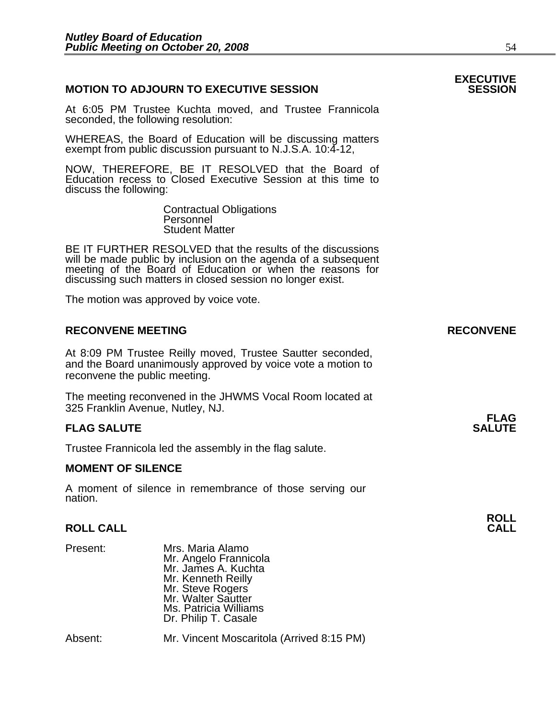#### **MOTION TO ADJOURN TO EXECUTIVE SESSION**

At 6:05 PM Trustee Kuchta moved, and Trustee Frannicola seconded, the following resolution:

WHEREAS, the Board of Education will be discussing matters exempt from public discussion pursuant to N.J.S.A. 10:4-12,

NOW, THEREFORE, BE IT RESOLVED that the Board of Education recess to Closed Executive Session at this time to discuss the following:

> Contractual Obligations Personnel Student Matter

 BE IT FURTHER RESOLVED that the results of the discussions will be made public by inclusion on the agenda of a subsequent meeting of the Board of Education or when the reasons for discussing such matters in closed session no longer exist.

The motion was approved by voice vote.

#### **RECONVENE MEETING RECONVENE**

At 8:09 PM Trustee Reilly moved, Trustee Sautter seconded, and the Board unanimously approved by voice vote a motion to reconvene the public meeting.

The meeting reconvened in the JHWMS Vocal Room located at 325 Franklin Avenue, Nutley, NJ.

#### **FLAG SALUTE** SALUTE SALUTE SALUTE SALUTE SALUTE

Trustee Frannicola led the assembly in the flag salute.

#### **MOMENT OF SILENCE**

A moment of silence in remembrance of those serving our nation.

### **ROLL ROLL CALL CALL**

Present: Mrs. Maria Alamo Mr. Angelo Frannicola Mr. James A. Kuchta Mr. Kenneth Reilly Mr. Steve Rogers Mr. Walter Sautter Ms. Patricia Williams Dr. Philip T. Casale

Absent: Mr. Vincent Moscaritola (Arrived 8:15 PM)

## **EXECUTIVE**

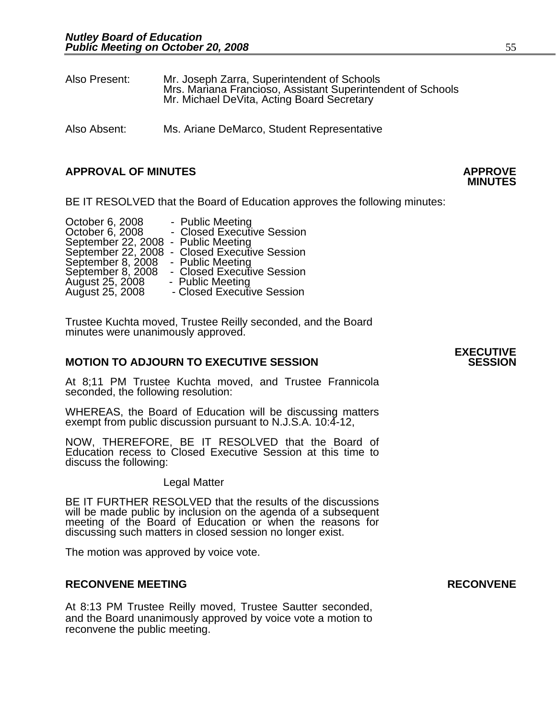| Also Present: | Mr. Joseph Zarra, Superintendent of Schools<br>Mrs. Mariana Francioso, Assistant Superintendent of Schools<br>Mr. Michael DeVita, Acting Board Secretary |
|---------------|----------------------------------------------------------------------------------------------------------------------------------------------------------|
|               |                                                                                                                                                          |

Also Absent: Ms. Ariane DeMarco, Student Representative

#### **APPROVAL OF MINUTES APPROVE**

BE IT RESOLVED that the Board of Education approves the following minutes:

| October 6, 2008                     | - Public Meeting                              |
|-------------------------------------|-----------------------------------------------|
| October 6, 2008                     | - Closed Executive Session                    |
| September 22, 2008 - Public Meeting |                                               |
|                                     | September 22, 2008 - Closed Executive Session |
| September 8, 2008                   | - Public Meeting                              |
| September 8, 2008                   | - Closed Executive Session                    |
| August 25, 2008                     | - Public Meeting                              |
| August 25, 2008                     | - Closed Executive Session                    |

Trustee Kuchta moved, Trustee Reilly seconded, and the Board minutes were unanimously approved.

#### **MOTION TO ADJOURN TO EXECUTIVE SESSION**

At 8;11 PM Trustee Kuchta moved, and Trustee Frannicola seconded, the following resolution:

WHEREAS, the Board of Education will be discussing matters exempt from public discussion pursuant to N.J.S.A. 10:4-12,

NOW, THEREFORE, BE IT RESOLVED that the Board of Education recess to Closed Executive Session at this time to discuss the following:

#### Legal Matter

BE IT FURTHER RESOLVED that the results of the discussions will be made public by inclusion on the agenda of a subsequent meeting of the Board of Education or when the reasons for discussing such matters in closed session no longer exist.

The motion was approved by voice vote.

#### **RECONVENE MEETING RECONVENE**

At 8:13 PM Trustee Reilly moved, Trustee Sautter seconded, and the Board unanimously approved by voice vote a motion to reconvene the public meeting.

**MINUTES**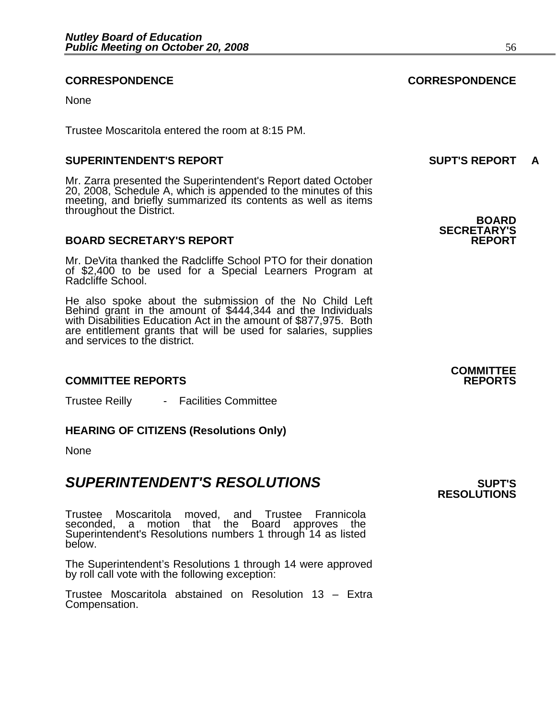#### **CORRESPONDENCE CORRESPONDENCE**

None

Trustee Moscaritola entered the room at 8:15 PM.

#### **SUPERINTENDENT'S REPORT SUPT'S REPORT A**

Mr. Zarra presented the Superintendent's Report dated October 20, 2008, Schedule A, which is appended to the minutes of this meeting, and briefly summarized its contents as well as items throughout the District. **BOARD** 

#### **BOARD SECRETARY'S REPORT**

Mr. DeVita thanked the Radcliffe School PTO for their donation of \$2,400 to be used for a Special Learners Program at Radcliffe School.

He also spoke about the submission of the No Child Left Behind grant in the amount of \$444,344 and the Individuals with Disabilities Education Act in the amount of \$877,975. Both are entitlement grants that will be used for salaries, supplies and services to the district.

#### **COMMITTEE REPORTS REPORTS**

Trustee Reilly - Facilities Committee

#### **HEARING OF CITIZENS (Resolutions Only)**

None

### **SUPERINTENDENT'S RESOLUTIONS EXAMPLE ASSESSED ASSESSED ASSESSED ASSESSED ASSESSED ASSESSED ASSESSED ASSESSED ASSESSED ASSESSED ASSESSED ASSESSED ASSESSED ASSESSED ASSESSED ASSESSED ASSESSED ASSESSED ASSESSED ASSESSED AS**

Trustee Moscaritola moved, and Trustee Frannicola seconded, a motion that the Board approves the Superintendent's Resolutions numbers 1 through 14 as listed<br>below.

The Superintendent's Resolutions 1 through 14 were approved by roll call vote with the following exception:

Trustee Moscaritola abstained on Resolution 13 – Extra Compensation.

**SECRETARY'S** 

**COMMITTEE** 

**RESOLUTIONS**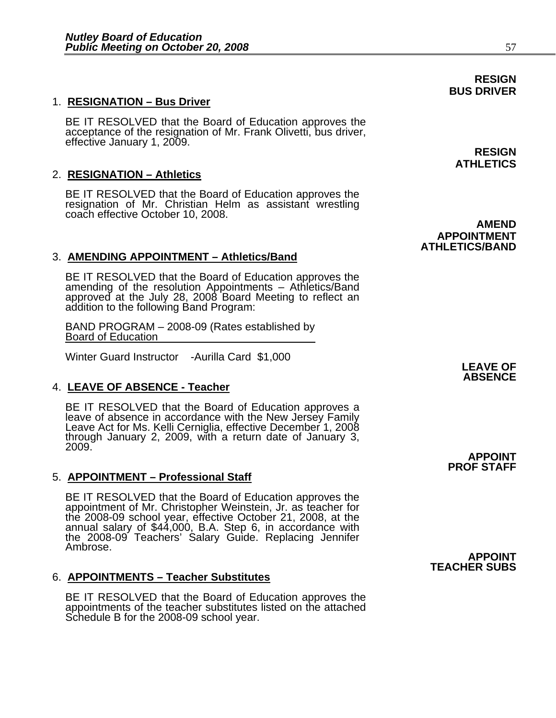#### 1. **RESIGNATION – Bus Driver**

BE IT RESOLVED that the Board of Education approves the acceptance of the resignation of Mr. Frank Olivetti, bus driver, effective January 1, 2009. **RESIGN RESIGN** 

#### 2. **RESIGNATION – Athletics**

BE IT RESOLVED that the Board of Education approves the resignation of Mr. Christian Helm as assistant wrestling coach effective October 10, 2008.

#### 3. **AMENDING APPOINTMENT – Athletics/Band**

BE IT RESOLVED that the Board of Education approves the amending of the resolution Appointments – Athletics/Band approved at the July 28, 2008 Board Meeting to reflect an<br>addition to the following Band Program:

BAND PROGRAM – 2008-09 (Rates established by Board of Education

Winter Guard Instructor -Aurilla Card \$1,000

#### 4. **LEAVE OF ABSENCE - Teacher**

BE IT RESOLVED that the Board of Education approves a leave of absence in accordance with the New Jersey Family Leave Act for Ms. Kelli Cerniglia, effective December 1, 2008 through January 2, 2009, with a return date of January 3, 2009.

#### 5. **APPOINTMENT – Professional Staff**

BE IT RESOLVED that the Board of Education approves the appointment of Mr. Christopher Weinstein, Jr. as teacher for the 2008-09 school year, effective October 21, 2008, at the annual salary of \$44,000, B.A. Step 6, in accordance with the 2008-09 Teachers' Salary Guide. Replacing Jennifer Ambrose.

#### 6. **APPOINTMENTS – Teacher Substitutes**

BE IT RESOLVED that the Board of Education approves the appointments of the teacher substitutes listed on the attached Schedule B for the 2008-09 school year.

**ATHLETICS** 

**AMEND APPOINTMENT ATHLETICS/BAND** 

> **LEAVE OF ABSENCE**

**APPOINT PROF STAFF** 

**APPOINT TEACHER SUBS** 

**RESIGN BUS DRIVER**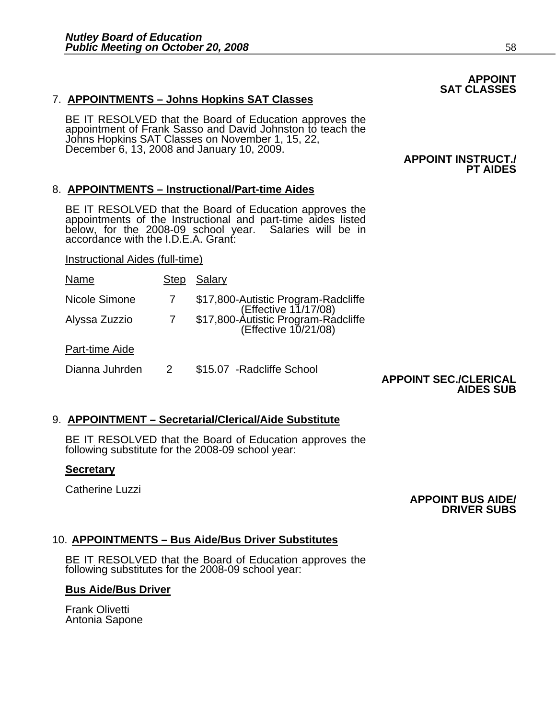### 7. **APPOINTMENTS – Johns Hopkins SAT Classes**

BE IT RESOLVED that the Board of Education approves the<br>appointment of Frank Sasso and David Johnston to teach the Johns Hopkins SAT Classes on November 1, 15, 22, December 6, 13, 2008 and January 10, 2009.

#### 8. **APPOINTMENTS – Instructional/Part-time Aides**

BE IT RESOLVED that the Board of Education approves the appointments of the Instructional and part-time aides listed below, for the 2008-09 school year. Salaries will be in accordance with the I.D.E.A. Grant:

Instructional Aides (full-time)

| Name           | <b>Step</b> | Salary                                                                                                                     |
|----------------|-------------|----------------------------------------------------------------------------------------------------------------------------|
| Nicole Simone  |             |                                                                                                                            |
| Alyssa Zuzzio  | 7           | \$17,800-Autistic Program-Radcliffe<br>(Effective 11/17/08)<br>\$17,800-Autistic Program-Radcliffe<br>(Effective 10/21/08) |
| Part-time Aide |             |                                                                                                                            |
| Dianna Juhrden |             | \$15.07 - Radcliffe School                                                                                                 |

#### **APPOINT SEC./CLERICAL AIDES SUB**

### 9. **APPOINTMENT – Secretarial/Clerical/Aide Substitute**

BE IT RESOLVED that the Board of Education approves the following substitute for the 2008-09 school year:

#### **Secretary**

Catherine Luzzi

#### **APPOINT BUS AIDE/ DRIVER SUBS**

### 10. **APPOINTMENTS – Bus Aide/Bus Driver Substitutes**

BE IT RESOLVED that the Board of Education approves the following substitutes for the 2008-09 school year:

### **Bus Aide/Bus Driver**

Frank Olivetti Antonia Sapone

#### **APPOINT SAT CLASSES**

**PT AIDES** 

 **APPOINT INSTRUCT./**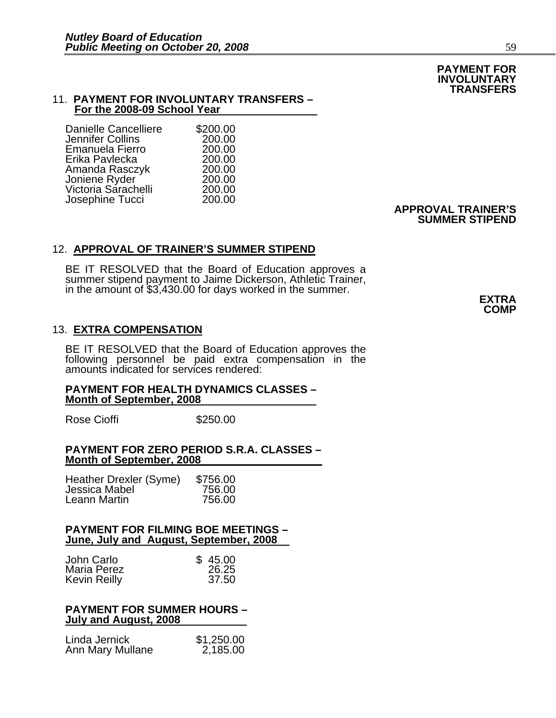#### 11. **PAYMENT FOR INVOLUNTARY TRANSFERS – For the 2008-09 School Year**

| <b>Danielle Cancelliere</b> | \$200.00 |
|-----------------------------|----------|
| Jennifer Collins            | 200.00   |
| Emanuela Fierro             | 200.00   |
| Erika Pavlecka              | 200.00   |
| Amanda Rasczyk              | 200.00   |
| Joniene Ryder               | 200.00   |
| Victoria Sárachelli         | 200.00   |
| Josephine Tucci             | 200.00   |
|                             |          |

#### 12. **APPROVAL OF TRAINER'S SUMMER STIPEND**

BE IT RESOLVED that the Board of Education approves a summer stipend payment to Jaime Dickerson, Athletic Trainer, in the amount of \$3,430.00 for days worked in the summer. **EXTRA**

#### 13. **EXTRA COMPENSATION**

BE IT RESOLVED that the Board of Education approves the following personnel be paid extra compensation in the amounts indicated for services rendered:

#### **PAYMENT FOR HEALTH DYNAMICS CLASSES – Month of September, 2008**

Rose Cioffi **\$250.00** 

#### **PAYMENT FOR ZERO PERIOD S.R.A. CLASSES – Month of September, 2008**

| Heather Drexler (Syme) | \$756.00 |
|------------------------|----------|
| Jessica Mabel          | 756.00   |
| Leann Martin           | 756.00   |

#### **PAYMENT FOR FILMING BOE MEETINGS – June, July and August, September, 2008**

| John Carlo          | \$45.00 |
|---------------------|---------|
| Maria Perez         | 26.25   |
| <b>Kevin Reilly</b> | 37.50   |

#### **PAYMENT FOR SUMMER HOURS – July and August, 2008**

| Linda Jernick    | \$1,250.00 |
|------------------|------------|
| Ann Mary Mullane | 2,185.00   |

#### **APPROVAL TRAINER'S SUMMER STIPEND**

**COMP** 

**PAYMENT FOR INVOLUNTARY TRANSFERS**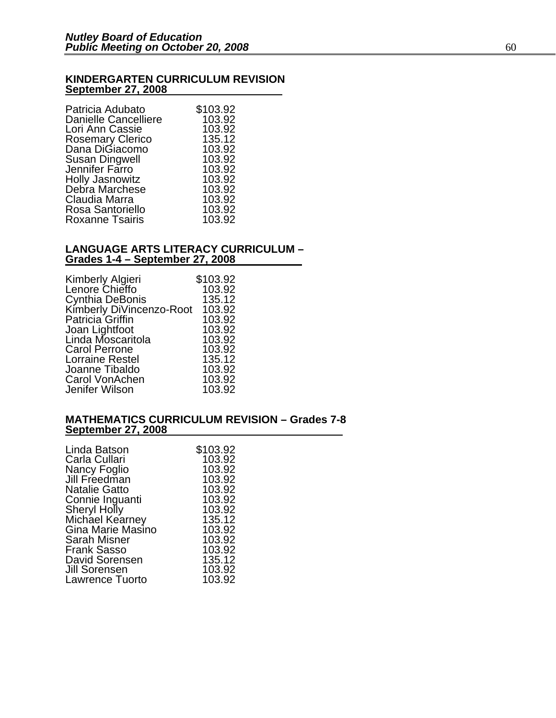#### **KINDERGARTEN CURRICULUM REVISION September 27, 2008**

| Patricia Adubato                   | \$103.92 |
|------------------------------------|----------|
| <b>Danielle Cancelliere</b>        | 103.92   |
| Lori Ann Cassie                    | 103.92   |
| Rosemary Clerico<br>Dana DiGiacomo | 135.12   |
|                                    | 103.92   |
| <b>Susan Dingwell</b>              | 103.92   |
| Jennifer Farro                     | 103.92   |
| Holly Jasnowitz<br>Debra Marchese  | 103.92   |
|                                    | 103.92   |
| Claudia Marra                      | 103.92   |
| Rosa Santoriello                   | 103.92   |
| <b>Roxanne Tsairis</b>             | 103.92   |
|                                    |          |

#### **LANGUAGE ARTS LITERACY CURRICULUM – Grades 1-4 – September 27, 2008**

| Kimberly Algieri                                   | \$103.92 |
|----------------------------------------------------|----------|
| Lenore Chieffo                                     | 103.92   |
| Cynthia DeBonis<br>Kimberly DiVincenzo-Root 103.92 |          |
|                                                    |          |
| Patricia Griffin                                   | 103.92   |
| Joan Lightfoot                                     | 103.92   |
| Linda Moscaritola                                  | 103.92   |
| <b>Carol Perrone</b>                               | 103.92   |
| <b>Lorraine Restel</b>                             | 135.12   |
| Joanne Tibaldo                                     | 103.92   |
| Carol VonAchen                                     | 103.92   |
| Jenifer Wilson                                     | 103.92   |

#### **MATHEMATICS CURRICULUM REVISION – Grades 7-8 September 27, 2008**

| \$103.92 |
|----------|
| 103.92   |
| 103.92   |
| 103.92   |
| 103.92   |
| 103.92   |
| 103.92   |
| 135.12   |
| 103.92   |
| 103.92   |
| 103.92   |
| 135.12   |
| 103.92   |
| 103.92   |
|          |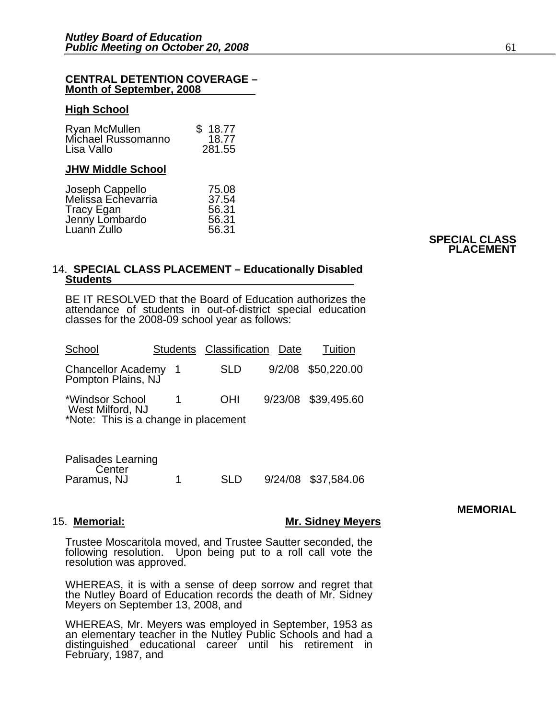#### **CENTRAL DETENTION COVERAGE – Month of September, 2008**

#### **High School**

| Ryan McMullen      | \$18.77 |
|--------------------|---------|
| Michael Russomanno | 18.77   |
| Lisa Vallo         | 281.55  |

#### **JHW Middle School**

| Joseph Cappello<br>Melissa Echevarria | 75.08 |
|---------------------------------------|-------|
|                                       | 37.54 |
| <b>Tracy Egan</b>                     | 56.31 |
| Jenny Lombardo                        | 56.31 |
| Luann Zullo                           | 56.31 |
|                                       |       |

#### **SPECIAL CLASS PLACEMENT**

#### 14. **SPECIAL CLASS PLACEMENT – Educationally Disabled Students**

BE IT RESOLVED that the Board of Education authorizes the attendance of students in out-of-district special education classes for the 2008-09 school year as follows:

| School                                                                      |     | Students Classification | Date | Tuition             |
|-----------------------------------------------------------------------------|-----|-------------------------|------|---------------------|
| <b>Chancellor Academy</b><br>Pompton Plains, NJ                             | - 1 | <b>SLD</b>              |      | 9/2/08 \$50,220.00  |
| *Windsor School<br>West Milford, NJ<br>*Note: This is a change in placement |     | <b>OHI</b>              |      | 9/23/08 \$39,495.60 |

| Palisades Learning |            |                     |
|--------------------|------------|---------------------|
| Center             |            |                     |
| Paramus, NJ        | <b>SLD</b> | 9/24/08 \$37,584.06 |

#### **MEMORIAL**

#### 15. **Memorial: Mr. Sidney Meyers**

Trustee Moscaritola moved, and Trustee Sautter seconded, the following resolution. Upon being put to a roll call vote the resolution was approved.

WHEREAS, it is with a sense of deep sorrow and regret that the Nutley Board of Education records the death of Mr. Sidney Meyers on September 13, 2008, and

WHEREAS, Mr. Meyers was employed in September, 1953 as an elementary teacher in the Nutley Public Schools and had a distinguished educational career until his retirement in February, 1987, and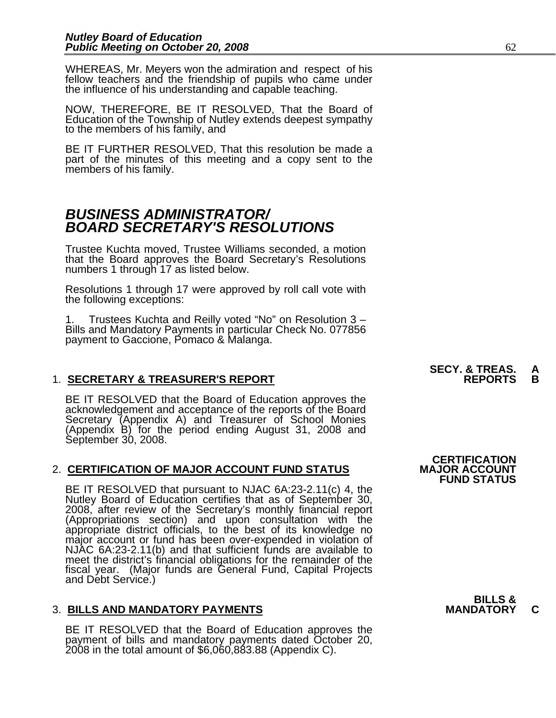WHEREAS, Mr. Meyers won the admiration and respect of his fellow teachers and the friendship of pupils who came under the influence of his understanding and capable teaching.

NOW, THEREFORE, BE IT RESOLVED, That the Board of Education of the Township of Nutley extends deepest sympathy to the members of his family, and

BE IT FURTHER RESOLVED, That this resolution be made a part of the minutes of this meeting and a copy sent to the members of his family.

### *BUSINESS ADMINISTRATOR/ BOARD SECRETARY'S RESOLUTIONS*

Trustee Kuchta moved, Trustee Williams seconded, a motion that the Board approves the Board Secretary's Resolutions numbers 1 through 17 as listed below.

Resolutions 1 through 17 were approved by roll call vote with the following exceptions:

1. Trustees Kuchta and Reilly voted "No" on Resolution 3 – Bills and Mandatory Payments in particular Check No. 077856 payment to Gaccione, Pomaco & Malanga. İ

#### **1. SECRETARY & TREASURER'S REPORT**

BE IT RESOLVED that the Board of Education approves the<br>acknowledgement and acceptance of the reports of the Board<br>Secretary (Appendix A) and Treasurer of School Monies (Appendix B) for the period ending August 31, 2008 and<br>September 30, 2008.

#### 2. **CERTIFICATION OF MAJOR ACCOUNT FUND STATUS**

BE IT RESOLVED that pursuant to NJAC 6A:23-2.11(c) 4, the Nutley Board of Education certifies that as of September 30, 2008, after review of the Secretary's monthly financial report (Appropriations section) and upon consultation with the appropriate district officials, to the best of its knowledge no major account or fund has been over-expended in violation of NJAC 6A:23-2.11(b) and that sufficient fu meet the district's financial obligations for the remainder of the fiscal year. (Major funds are General Fund, Capital Projects and Debt Service.)

#### **3. BILLS AND MANDATORY PAYMENTS**

BE IT RESOLVED that the Board of Education approves the payment of bills and mandatory payments dated October 20, 2008 in the total amount of \$6,060,883.88 (Appendix C).

**SECY. & TREAS. A**<br>REPORTS B

**CERTIFICATION<br>MAJOR ACCOUNT FUND STATUS**

## **BILLS &**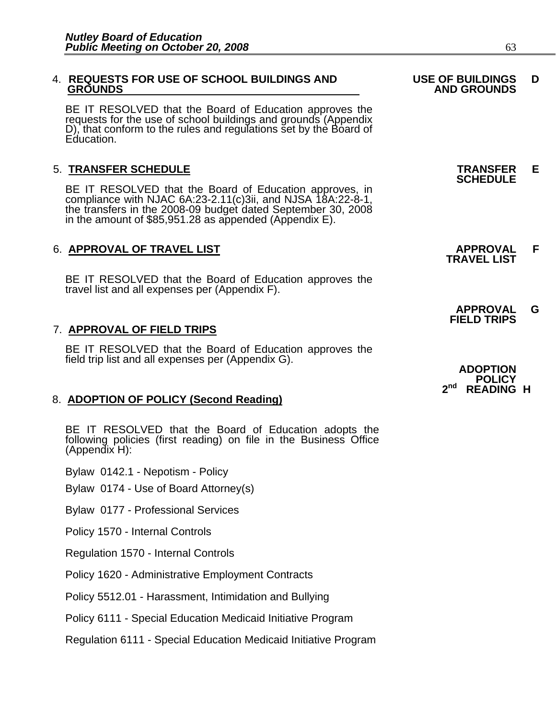## 4. **REQUESTS FOR USE OF SCHOOL BUILDINGS AND USE OF BUILDINGS D**

BE IT RESOLVED that the Board of Education approves the requests for the use of school buildings and grounds (Appendix D), that conform to the rules and regulations set by the Board of Education.

5. **TRANSFER SCHEDULE**<br>**BE IT RESOLVED that the Board of Education approves, in SCHEDULE**<br>**BE IT RESOLVED that the Board of Education approves, in** compliance with NJAC 6A:23-2.11(c)3ii, and NJSA 18A:22-8-1, the transfers in the 2008-09 budget dated September 30, 2008 in the amount of \$85,951.28 as appended (Appendix E).

### 6. **APPROVAL OF TRAVEL LIST APPROVAL F TRAVEL LIST**

BE IT RESOLVED that the Board of Education approves the travel list and all expenses per (Appendix F).

#### 7. **APPROVAL OF FIELD TRIPS**

BE IT RESOLVED that the Board of Education approves the field trip list and all expenses per (Appendix G).

#### 8. **ADOPTION OF POLICY (Second Reading)**

BE IT RESOLVED that the Board of Education adopts the following policies (first reading) on file in the Business Office (Appendix H):

Bylaw 0142.1 - Nepotism - Policy

Bylaw 0174 - Use of Board Attorney(s)

Bylaw 0177 - Professional Services

Policy 1570 - Internal Controls

Regulation 1570 - Internal Controls

Policy 1620 - Administrative Employment Contracts

Policy 5512.01 - Harassment, Intimidation and Bullying

Policy 6111 - Special Education Medicaid Initiative Program

Regulation 6111 - Special Education Medicaid Initiative Program

## **GROUNDS AND GROUNDS**

 **APPROVAL G FIELD TRIPS** 

**ADOPTION POLICY 2nd READING H**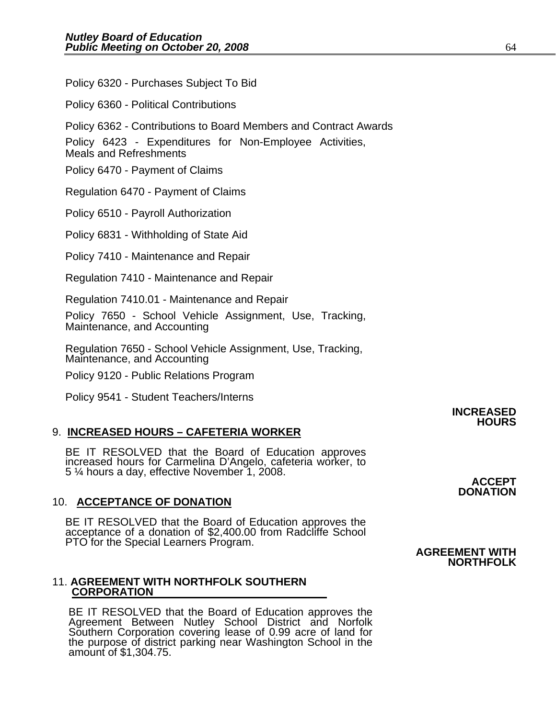Policy 6320 - Purchases Subject To Bid

Policy 6360 - Political Contributions

Policy 6362 - Contributions to Board Members and Contract Awards

Policy 6423 - Expenditures for Non-Employee Activities,

Meals and Refreshments

Policy 6470 - Payment of Claims

Regulation 6470 - Payment of Claims

Policy 6510 - Payroll Authorization

Policy 6831 - Withholding of State Aid

Policy 7410 - Maintenance and Repair

Regulation 7410 - Maintenance and Repair

Regulation 7410.01 - Maintenance and Repair

Policy 7650 - School Vehicle Assignment, Use, Tracking, Maintenance, and Accounting

Regulation 7650 - School Vehicle Assignment, Use, Tracking, Maintenance, and Accounting

Policy 9120 - Public Relations Program

Policy 9541 - Student Teachers/Interns

#### 9. **INCREASED HOURS – CAFETERIA WORKER**

BE IT RESOLVED that the Board of Education approves increased hours for Carmelina D'Angelo, cafeteria worker, to 5 ¼ hours a day, effective November 1, 2008.

### **ACCEPT DONATION**  10. **ACCEPTANCE OF DONATION**

BE IT RESOLVED that the Board of Education approves the acceptance of a donation of \$2,400.00 from Radcliffe School PTO for the Special Learners Program. **AGREEMENT WITH NORTHFOLK** 

#### 11. **AGREEMENT WITH NORTHFOLK SOUTHERN CORPORATION**

BE IT RESOLVED that the Board of Education approves the<br>Agreement Between Nutley School District and Norfolk Southern Corporation covering lease of 0.99 acre of land for<br>the purpose of district parking near Washington School in the<br>amount of \$1,304.75.

## **INCREASED HOURS**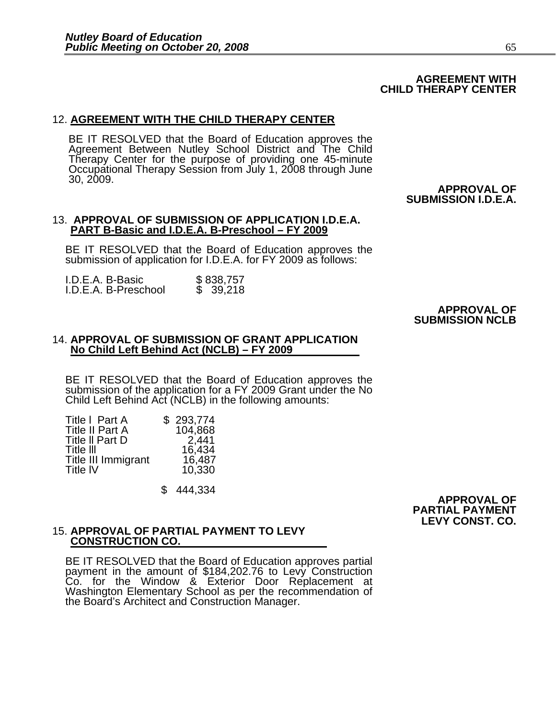## **AGREEMENT WITH CHILD THERAPY CENTER**

#### 12. **AGREEMENT WITH THE CHILD THERAPY CENTER**

BE IT RESOLVED that the Board of Education approves the Agreement Between Nutley School District and The Child Therapy Center for the purpose of providing one 45-minute Occupational Therapy Session from July 1, 2008 through June 30, 2009.

 **APPROVAL OF SUBMISSION I.D.E.A.** 

#### 13. **APPROVAL OF SUBMISSION OF APPLICATION I.D.E.A. PART B-Basic and I.D.E.A. B-Preschool – FY 2009**

BE IT RESOLVED that the Board of Education approves the submission of application for I.D.E.A. for FY 2009 as follows:

| I.D.E.A. B-Basic     | \$838,757 |
|----------------------|-----------|
| I.D.E.A. B-Preschool | \$39,218  |

# **APPROVAL OF SUBMISSION NCLB**

#### 14. **APPROVAL OF SUBMISSION OF GRANT APPLICATION No Child Left Behind Act (NCLB) – FY 2009**

BE IT RESOLVED that the Board of Education approves the submission of the application for a FY 2009 Grant under the No Child Left Behind Act (NCLB) in the following amounts: 

| Title I Part A         | \$293,774 |
|------------------------|-----------|
| <b>Title II Part A</b> | 104,868   |
| Title II Part D        | 2,441     |
| Title III              | 16,434    |
| Title III Immigrant    | 16,487    |
| <b>Title IV</b>        | 10,330    |
|                        |           |

\$ 444,334

### **APPROVAL OF PARTIAL PAYMENT LEVY CONST. CO.**

## 15. **APPROVAL OF PARTIAL PAYMENT TO LEVY CONSTRUCTION CO.**

BE IT RESOLVED that the Board of Education approves partial payment in the amount of \$184,202.76 to Levy Construction Co. for the Window & Exterior Door Replacement at Washington Elementary School as per the recommendation of the Board's Architect and Construction Manager.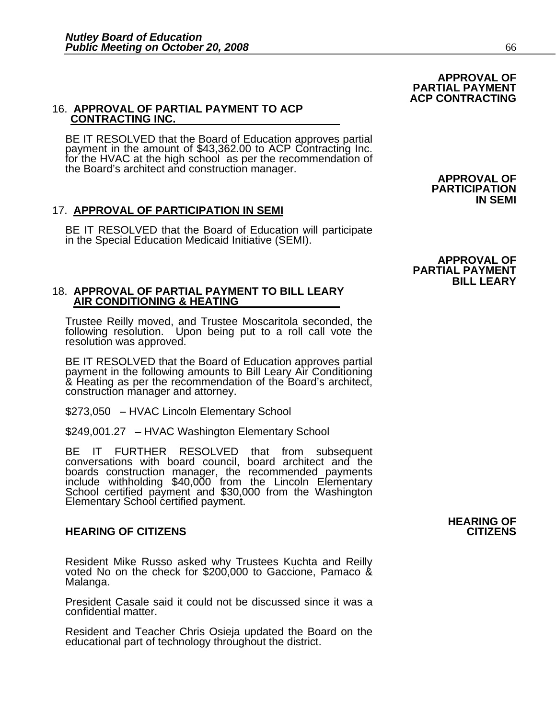## 16. **APPROVAL OF PARTIAL PAYMENT TO ACP CONTRACTING INC.**

BE IT RESOLVED that the Board of Education approves partial payment in the amount of \$43,362.00 to ACP Contracting Inc.<br>for the HVAC at the high school as per the recommendation of<br>the Board's architect and construction manager.<br>**APPROVAL OF**<br>**PARTICIPATION** 

#### 17. **APPROVAL OF PARTICIPATION IN SEMI**

BE IT RESOLVED that the Board of Education will participate in the Special Education Medicaid Initiative (SEMI).

## 18. **APPROVAL OF PARTIAL PAYMENT TO BILL LEARY AIR CONDITIONING & HEATING**

Trustee Reilly moved, and Trustee Moscaritola seconded, the following resolution. Upon being put to a roll call vote the resolution was approved.

BE IT RESOLVED that the Board of Education approves partial payment in the following amounts to Bill Leary Air Conditioning & Heating as per the recommendation of the Board's architect, construction manager and attorney.

\$273,050 – HVAC Lincoln Elementary School

\$249,001.27 – HVAC Washington Elementary School

BE IT FURTHER RESOLVED that from subsequent conversations with board council, board architect and the boards construction manager, the recommended payments include withholding \$40,000 from the Lincoln Elementary School certified payment and \$30,000 from the Washington Elementary School certified payment.

#### **HEARING OF CITIZENS CITIONS**

Resident Mike Russo asked why Trustees Kuchta and Reilly voted No on the check for \$200,000 to Gaccione, Pamaco & Malanga.

President Casale said it could not be discussed since it was a confidential matter.

Resident and Teacher Chris Osieja updated the Board on the educational part of technology throughout the district.

# **IN SEMI**

 **APPROVAL OF PARTIAL PAYMENT ACP CONTRACTING** 

### **APPROVAL OF PARTIAL PAYMENT BILL LEARY**

# **HEARING OF ACCEPTANCE OF A SERVICE OF A SERVICE OF A SERVICE OF A SERVICE OF A SERVICE OF A SERVICE OF A SERVICE OF A SERVICE OF A SERVICE OF A SERVICE OF A SERVICE OF A SERVICE OF A SERVICE OF A SERVICE OF A SERVICE OF A**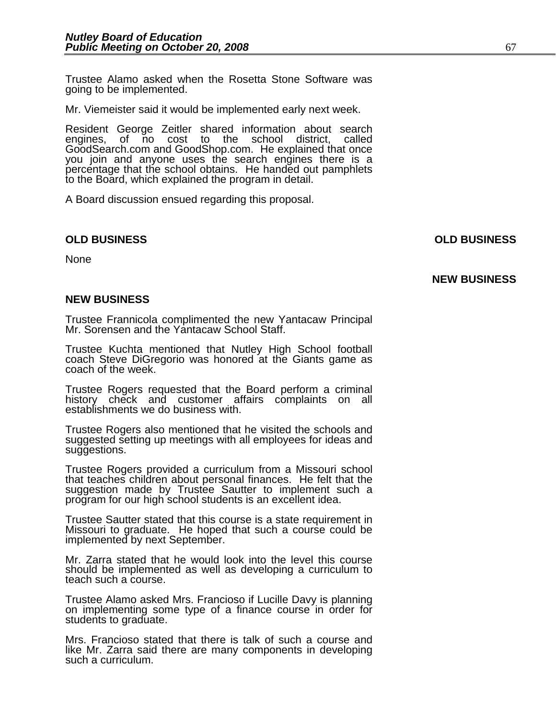Trustee Alamo asked when the Rosetta Stone Software was going to be implemented.

Mr. Viemeister said it would be implemented early next week.

Resident George Zeitler shared information about search engines, of no cost to the school district, called GoodSearch.com and GoodShop.com. He explained that once you join and anyone uses the search engines there is a percentage that the school obtains. He handed out pamphlets to the Board, which explained the program in detail.

A Board discussion ensued regarding this proposal.

#### **OLD BUSINESS OLD BUSINESS**

None

**NEW BUSINESS** 

#### **NEW BUSINESS**

Trustee Frannicola complimented the new Yantacaw Principal Mr. Sorensen and the Yantacaw School Staff.

Trustee Kuchta mentioned that Nutley High School football coach Steve DiGregorio was honored at the Giants game as coach of the week.

Trustee Rogers requested that the Board perform a criminal history check and customer affairs complaints on all establishments we do business with.

Trustee Rogers also mentioned that he visited the schools and suggested setting up meetings with all employees for ideas and suggestions.

Trustee Rogers provided a curriculum from a Missouri school that teaches children about personal finances. He felt that the<br>suggestion made by Trustee Sautter to implement such a program for our high school students is an excellent idea.

Trustee Sautter stated that this course is a state requirement in Missouri to graduate. He hoped that such a course could be implemented by next September.

Mr. Zarra stated that he would look into the level this course should be implemented as well as developing a curriculum to teach such a course.

Trustee Alamo asked Mrs. Francioso if Lucille Davy is planning on implementing some type of a finance course in order for students to graduate.

Mrs. Francioso stated that there is talk of such a course and like Mr. Zarra said there are many components in developing such a curriculum.